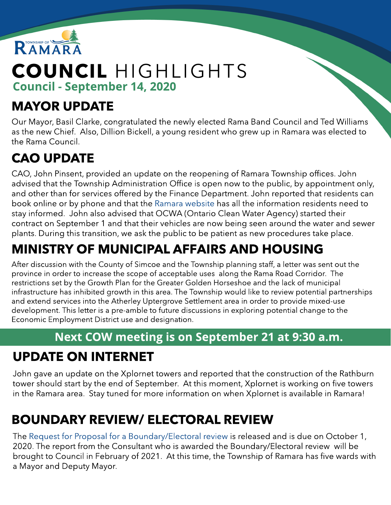

# COUNCIL HIGHLIGHTS Council - September 14, 2020

### MAYOR UPDATE

Our Mayor, Basil Clarke, congratulated the newly elected Rama Band Council and Ted Williams as the new Chief. Also, Dillion Bickell, a young resident who grew up in Ramara was elected to the Rama Council.

# CAO UPDATE

CAO, John Pinsent, provided an update on the reopening of Ramara Township offices. John advised that the Township Administration Office is open now to the public, by appointment only, and other than for services offered by the Finance Department. John reported that residents can book online or by phone and that the [Ramara](http://www.ramara.ca) [website](http://www.ramara.ca) has all the information residents need to stay informed. John also advised that OCWA (Ontario Clean Water Agency) started their contract on September 1 and that their vehicles are now being seen around the water and sewer plants. During this transition, we ask the public to be patient as new procedures take place.

# MINISTRY OF MUNICIPAL AFFAIRS AND HOUSING

After discussion with the County of Simcoe and the Township planning staff, a letter was sent out the province in order to increase the scope of acceptable uses along the Rama Road Corridor. The restrictions set by the Growth Plan for the Greater Golden Horseshoe and the lack of municipal infrastructure has inhibited growth in this area. The Township would like to review potential partnerships and extend services into the Atherley Uptergrove Settlement area in order to provide mixed-use development. This letter is a pre-amble to future discussions in exploring potential change to the Economic Employment District use and designation.

#### Next COW meeting is on September 21 at 9:30 a.m.

#### UPDATE ON INTERNET

John gave an update on the Xplornet towers and reported that the construction of the Rathburn tower should start by the end of September. At this moment, Xplornet is working on five towers in the Ramara area. Stay tuned for more information on when Xplornet is available in Ramara!

# BOUNDARY REVIEW/ ELECTORAL REVIEW

The [Request](https://www.ramara.ca/en/municipal-office/bids-and-tenders.aspx) [for](https://www.ramara.ca/en/municipal-office/bids-and-tenders.aspx) [Proposal](https://www.ramara.ca/en/municipal-office/bids-and-tenders.aspx) [for](https://www.ramara.ca/en/municipal-office/bids-and-tenders.aspx) [a](https://www.ramara.ca/en/municipal-office/bids-and-tenders.aspx) [Boundary/Electoral](https://www.ramara.ca/en/municipal-office/bids-and-tenders.aspx) [review](https://www.ramara.ca/en/municipal-office/bids-and-tenders.aspx) is released and is due on October 1, 2020. The report from the Consultant who is awarded the Boundary/Electoral review will be brought to Council in February of 2021. At this time, the Township of Ramara has five wards with a Mayor and Deputy Mayor.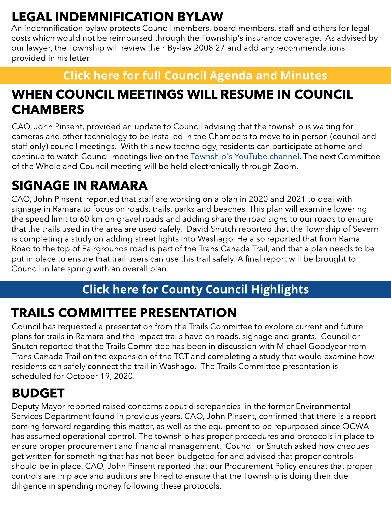# LEGAL INDEMNIFICATION BYLAW

An indemnification bylaw protects Council members, board members, staff and others for legal costs which would not be reimbursed through the Township's insurance coverage. As advised by our lawyer, the Township will review their By-law 2008.27 and add any recommendations provided in his letter.

#### **[Click](https://ramara.civicweb.net/portal/) [here](https://ramara.civicweb.net/portal/) [for](https://ramara.civicweb.net/portal/) [full](https://ramara.civicweb.net/portal/) [Council](https://ramara.civicweb.net/portal/) [Agenda](https://ramara.civicweb.net/portal/) [and](https://ramara.civicweb.net/portal/) [Minut](https://ramara.civicweb.net/portal/)es**

#### WHEN COUNCIL MEETINGS WILL RESUME IN COUNCIL **CHAMBERS**

CAO, John Pinsent, provided an update to Council advising that the township is waiting for cameras and other technology to be installed in the Chambers to move to in person (council and staff only) council meetings. With this new technology, residents can participate at home and continue to watch Council meetings live on the [Township's](https://www.youtube.com/channel/UClYspODBjK5nNnr9XtC7oug?view_as=subscriber) [YouTube](https://www.youtube.com/channel/UClYspODBjK5nNnr9XtC7oug?view_as=subscriber) [channel.](https://www.youtube.com/channel/UClYspODBjK5nNnr9XtC7oug?view_as=subscriber) The next Committee of the Whole and Council meeting will be held electronically through Zoom.

### SIGNAGE IN RAMARA

CAO, John Pinsent reported that staff are working on a plan in 2020 and 2021 to deal with signage in Ramara to focus on roads, trails, parks and beaches. This plan will examine lowering the speed limit to 60 km on gravel roads and adding share the road signs to our roads to ensure that the trails used in the area are used safely. David Snutch reported that the Township of Severn is completing a study on adding street lights into Washago. He also reported that from Rama Road to the top of Fairgrounds road is part of the Trans Canada Trail, and that a plan needs to be put in place to ensure that trail users can use this trail safely. A final report will be brought to Council in late spring with an overall plan.

#### **[Click](https://ramara.civicweb.net/portal/) [here](https://ramara.civicweb.net/portal/) [for](https://ramara.civicweb.net/portal/) [Count](https://www.simcoe.ca/dpt/ccd/newsletters)y [Council](https://www.simcoe.ca/dpt/ccd/newsletters) [Highlight](https://www.simcoe.ca/dpt/ccd/newsletters)s**

#### TRAILS COMMITTEE PRESENTATION

Council has requested a presentation from the Trails Committee to explore current and future plans for trails in Ramara and the impact trails have on roads, signage and grants. Councillor Snutch reported that the Trails Committee has been in discussion with Michael Goodyear from Trans Canada Trail on the expansion of the TCT and completing a study that would examine how residents can safely connect the trail in Washago. The Trails Committee presentation is scheduled for October 19, 2020.

#### BUDGET

Deputy Mayor reported raised concerns about discrepancies in the former Environmental Services Department found in previous years. CAO, John Pinsent, confirmed that there is a report coming forward regarding this matter, as well as the equipment to be repurposed since OCWA has assumed operational control. The township has proper procedures and protocols in place to ensure proper procurement and financial management. Councillor Snutch asked how cheques get written for something that has not been budgeted for and advised that proper controls should be in place. CAO, John Pinsent reported that our Procurement Policy ensures that proper controls are in place and auditors are hired to ensure that the Township is doing their due diligence in spending money following these protocols.